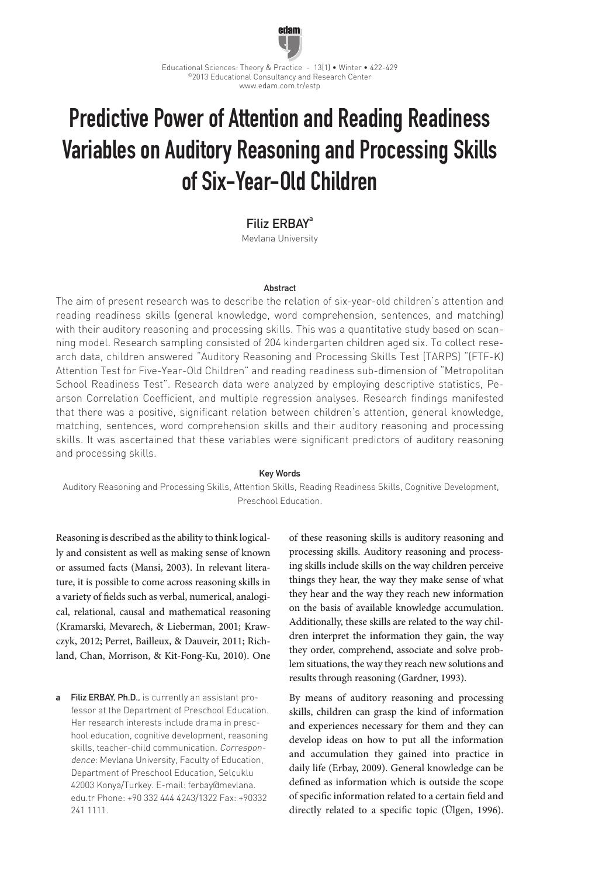# Predictive Power of Attention and Reading Readiness Variables on Auditory Reasoning and Processing Skills of Six-Year-Old Children

## Filiz ERBAY<sup>a</sup>

Mevlana University

#### **Abstract**

The aim of present research was to describe the relation of six-year-old children's attention and reading readiness skills (general knowledge, word comprehension, sentences, and matching) with their auditory reasoning and processing skills. This was a quantitative study based on scanning model. Research sampling consisted of 204 kindergarten children aged six. To collect research data, children answered "Auditory Reasoning and Processing Skills Test (TARPS) "(FTF-K) Attention Test for Five-Year-Old Children" and reading readiness sub-dimension of "Metropolitan School Readiness Test". Research data were analyzed by employing descriptive statistics, Pearson Correlation Coefficient, and multiple regression analyses. Research findings manifested that there was a positive, significant relation between children's attention, general knowledge, matching, sentences, word comprehension skills and their auditory reasoning and processing skills. It was ascertained that these variables were significant predictors of auditory reasoning and processing skills.

#### Key Words

 Auditory Reasoning and Processing Skills, Attention Skills, Reading Readiness Skills, Cognitive Development, Preschool Education.

Reasoning is described as the ability to think logically and consistent as well as making sense of known or assumed facts (Mansi, 2003). In relevant literature, it is possible to come across reasoning skills in a variety of fields such as verbal, numerical, analogical, relational, causal and mathematical reasoning (Kramarski, Mevarech, & Lieberman, 2001; Krawczyk, 2012; Perret, Bailleux, & Dauveir, 2011; Richland, Chan, Morrison, & Kit-Fong-Ku, 2010). One

a Filiz ERBAY, Ph.D., is currently an assistant professor at the Department of Preschool Education. Her research interests include drama in preschool education, cognitive development, reasoning skills, teacher-child communication. Correspondence: Mevlana University, Faculty of Education, Department of Preschool Education, Selçuklu 42003 Konya/Turkey. E-mail: ferbay@mevlana. edu.tr Phone: +90 332 444 4243/1322 Fax: +90332 241 1111.

of these reasoning skills is auditory reasoning and processing skills. Auditory reasoning and processing skills include skills on the way children perceive things they hear, the way they make sense of what they hear and the way they reach new information on the basis of available knowledge accumulation. Additionally, these skills are related to the way children interpret the information they gain, the way they order, comprehend, associate and solve problem situations, the way they reach new solutions and results through reasoning (Gardner, 1993).

By means of auditory reasoning and processing skills, children can grasp the kind of information and experiences necessary for them and they can develop ideas on how to put all the information and accumulation they gained into practice in daily life (Erbay, 2009). General knowledge can be defined as information which is outside the scope of specific information related to a certain field and directly related to a specific topic (Ülgen, 1996).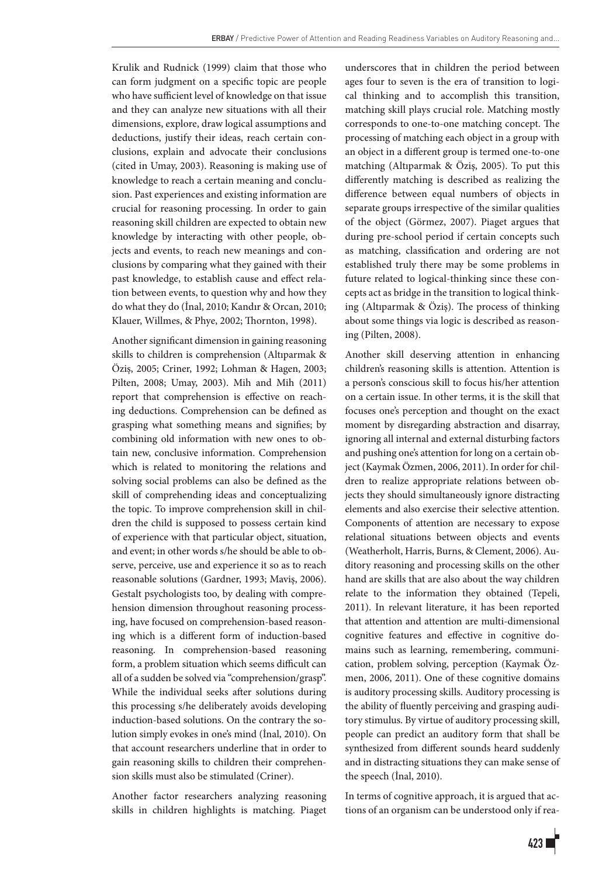Krulik and Rudnick (1999) claim that those who can form judgment on a specific topic are people who have sufficient level of knowledge on that issue and they can analyze new situations with all their dimensions, explore, draw logical assumptions and deductions, justify their ideas, reach certain conclusions, explain and advocate their conclusions (cited in Umay, 2003). Reasoning is making use of knowledge to reach a certain meaning and conclusion. Past experiences and existing information are crucial for reasoning processing. In order to gain reasoning skill children are expected to obtain new knowledge by interacting with other people, objects and events, to reach new meanings and conclusions by comparing what they gained with their past knowledge, to establish cause and effect relation between events, to question why and how they do what they do (İnal, 2010; Kandır & Orcan, 2010; Klauer, Willmes, & Phye, 2002; Thornton, 1998).

Another significant dimension in gaining reasoning skills to children is comprehension (Altıparmak & Öziş, 2005; Criner, 1992; Lohman & Hagen, 2003; Pilten, 2008; Umay, 2003). Mih and Mih (2011) report that comprehension is effective on reaching deductions. Comprehension can be defined as grasping what something means and signifies; by combining old information with new ones to obtain new, conclusive information. Comprehension which is related to monitoring the relations and solving social problems can also be defined as the skill of comprehending ideas and conceptualizing the topic. To improve comprehension skill in children the child is supposed to possess certain kind of experience with that particular object, situation, and event; in other words s/he should be able to observe, perceive, use and experience it so as to reach reasonable solutions (Gardner, 1993; Maviş, 2006). Gestalt psychologists too, by dealing with comprehension dimension throughout reasoning processing, have focused on comprehension-based reasoning which is a different form of induction-based reasoning. In comprehension-based reasoning form, a problem situation which seems difficult can all of a sudden be solved via "comprehension/grasp". While the individual seeks after solutions during this processing s/he deliberately avoids developing induction-based solutions. On the contrary the solution simply evokes in one's mind (İnal, 2010). On that account researchers underline that in order to gain reasoning skills to children their comprehension skills must also be stimulated (Criner).

Another factor researchers analyzing reasoning skills in children highlights is matching. Piaget underscores that in children the period between ages four to seven is the era of transition to logical thinking and to accomplish this transition, matching skill plays crucial role. Matching mostly corresponds to one-to-one matching concept. The processing of matching each object in a group with an object in a different group is termed one-to-one matching (Altıparmak & Öziş, 2005). To put this differently matching is described as realizing the difference between equal numbers of objects in separate groups irrespective of the similar qualities of the object (Görmez, 2007). Piaget argues that during pre-school period if certain concepts such as matching, classification and ordering are not established truly there may be some problems in future related to logical-thinking since these concepts act as bridge in the transition to logical thinking (Altıparmak & Öziş). The process of thinking about some things via logic is described as reasoning (Pilten, 2008).

Another skill deserving attention in enhancing children's reasoning skills is attention. Attention is a person's conscious skill to focus his/her attention on a certain issue. In other terms, it is the skill that focuses one's perception and thought on the exact moment by disregarding abstraction and disarray, ignoring all internal and external disturbing factors and pushing one's attention for long on a certain object (Kaymak Özmen, 2006, 2011). In order for children to realize appropriate relations between objects they should simultaneously ignore distracting elements and also exercise their selective attention. Components of attention are necessary to expose relational situations between objects and events (Weatherholt, Harris, Burns, & Clement, 2006). Auditory reasoning and processing skills on the other hand are skills that are also about the way children relate to the information they obtained (Tepeli, 2011). In relevant literature, it has been reported that attention and attention are multi-dimensional cognitive features and effective in cognitive domains such as learning, remembering, communication, problem solving, perception (Kaymak Özmen, 2006, 2011). One of these cognitive domains is auditory processing skills. Auditory processing is the ability of fluently perceiving and grasping auditory stimulus. By virtue of auditory processing skill, people can predict an auditory form that shall be synthesized from different sounds heard suddenly and in distracting situations they can make sense of the speech (İnal, 2010).

In terms of cognitive approach, it is argued that actions of an organism can be understood only if rea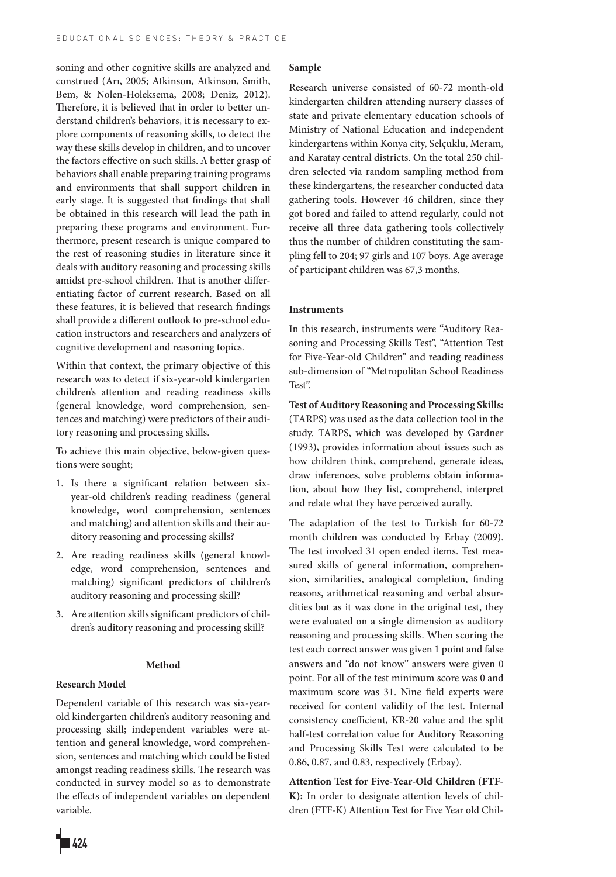soning and other cognitive skills are analyzed and construed (Arı, 2005; Atkinson, Atkinson, Smith, Bem, & Nolen-Holeksema, 2008; Deniz, 2012). Therefore, it is believed that in order to better understand children's behaviors, it is necessary to explore components of reasoning skills, to detect the way these skills develop in children, and to uncover the factors effective on such skills. A better grasp of behaviors shall enable preparing training programs and environments that shall support children in early stage. It is suggested that findings that shall be obtained in this research will lead the path in preparing these programs and environment. Furthermore, present research is unique compared to the rest of reasoning studies in literature since it deals with auditory reasoning and processing skills amidst pre-school children. That is another differentiating factor of current research. Based on all these features, it is believed that research findings shall provide a different outlook to pre-school education instructors and researchers and analyzers of cognitive development and reasoning topics.

Within that context, the primary objective of this research was to detect if six-year-old kindergarten children's attention and reading readiness skills (general knowledge, word comprehension, sentences and matching) were predictors of their auditory reasoning and processing skills.

To achieve this main objective, below-given questions were sought;

- 1. Is there a significant relation between sixyear-old children's reading readiness (general knowledge, word comprehension, sentences and matching) and attention skills and their auditory reasoning and processing skills?
- 2. Are reading readiness skills (general knowledge, word comprehension, sentences and matching) significant predictors of children's auditory reasoning and processing skill?
- 3. Are attention skills significant predictors of children's auditory reasoning and processing skill?

## **Method**

## **Research Model**

Dependent variable of this research was six-yearold kindergarten children's auditory reasoning and processing skill; independent variables were attention and general knowledge, word comprehension, sentences and matching which could be listed amongst reading readiness skills. The research was conducted in survey model so as to demonstrate the effects of independent variables on dependent variable.

## **Sample**

Research universe consisted of 60-72 month-old kindergarten children attending nursery classes of state and private elementary education schools of Ministry of National Education and independent kindergartens within Konya city, Selçuklu, Meram, and Karatay central districts. On the total 250 children selected via random sampling method from these kindergartens, the researcher conducted data gathering tools. However 46 children, since they got bored and failed to attend regularly, could not receive all three data gathering tools collectively thus the number of children constituting the sampling fell to 204; 97 girls and 107 boys. Age average of participant children was 67,3 months.

#### **Instruments**

In this research, instruments were "Auditory Reasoning and Processing Skills Test", "Attention Test for Five-Year-old Children" and reading readiness sub-dimension of "Metropolitan School Readiness Test".

**Test of Auditory Reasoning and Processing Skills:** (TARPS) was used as the data collection tool in the study. TARPS, which was developed by Gardner (1993), provides information about issues such as how children think, comprehend, generate ideas, draw inferences, solve problems obtain information, about how they list, comprehend, interpret and relate what they have perceived aurally.

The adaptation of the test to Turkish for 60-72 month children was conducted by Erbay (2009). The test involved 31 open ended items. Test measured skills of general information, comprehension, similarities, analogical completion, finding reasons, arithmetical reasoning and verbal absurdities but as it was done in the original test, they were evaluated on a single dimension as auditory reasoning and processing skills. When scoring the test each correct answer was given 1 point and false answers and "do not know" answers were given 0 point. For all of the test minimum score was 0 and maximum score was 31. Nine field experts were received for content validity of the test. Internal consistency coefficient, KR-20 value and the split half-test correlation value for Auditory Reasoning and Processing Skills Test were calculated to be 0.86, 0.87, and 0.83, respectively (Erbay).

**Attention Test for Five-Year-Old Children (FTF-K):** In order to designate attention levels of children (FTF-K) Attention Test for Five Year old Chil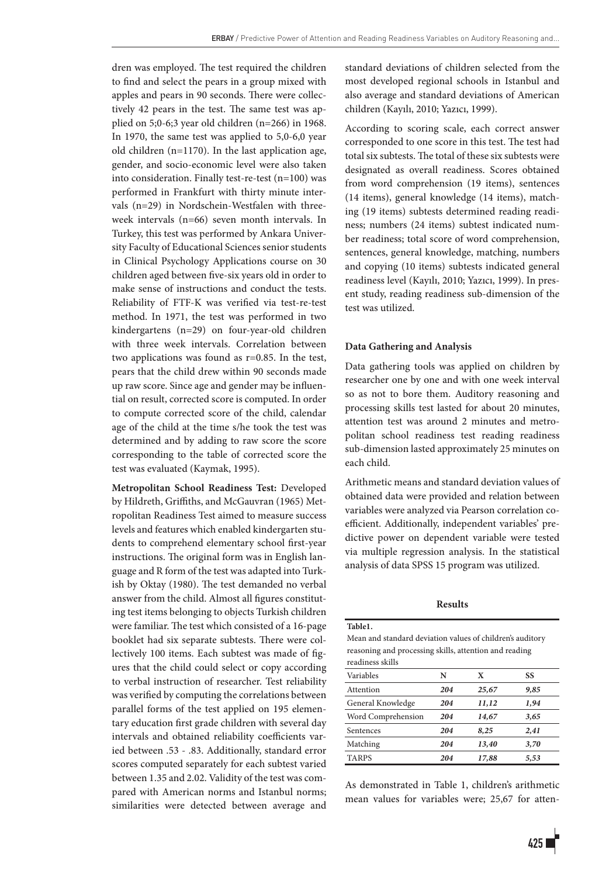dren was employed. The test required the children to find and select the pears in a group mixed with apples and pears in 90 seconds. There were collectively 42 pears in the test. The same test was applied on 5;0-6;3 year old children (n=266) in 1968. In 1970, the same test was applied to 5,0-6,0 year old children (n=1170). In the last application age, gender, and socio-economic level were also taken into consideration. Finally test-re-test (n=100) was performed in Frankfurt with thirty minute intervals (n=29) in Nordschein-Westfalen with threeweek intervals (n=66) seven month intervals. In Turkey, this test was performed by Ankara University Faculty of Educational Sciences senior students in Clinical Psychology Applications course on 30 children aged between five-six years old in order to make sense of instructions and conduct the tests. Reliability of FTF-K was verified via test-re-test method. In 1971, the test was performed in two kindergartens (n=29) on four-year-old children with three week intervals. Correlation between two applications was found as r=0.85. In the test, pears that the child drew within 90 seconds made up raw score. Since age and gender may be influential on result, corrected score is computed. In order to compute corrected score of the child, calendar age of the child at the time s/he took the test was determined and by adding to raw score the score corresponding to the table of corrected score the test was evaluated (Kaymak, 1995).

**Metropolitan School Readiness Test:** Developed by Hildreth, Griffiths, and McGauvran (1965) Metropolitan Readiness Test aimed to measure success levels and features which enabled kindergarten students to comprehend elementary school first-year instructions. The original form was in English language and R form of the test was adapted into Turkish by Oktay (1980). The test demanded no verbal answer from the child. Almost all figures constituting test items belonging to objects Turkish children were familiar. The test which consisted of a 16-page booklet had six separate subtests. There were collectively 100 items. Each subtest was made of figures that the child could select or copy according to verbal instruction of researcher. Test reliability was verified by computing the correlations between parallel forms of the test applied on 195 elementary education first grade children with several day intervals and obtained reliability coefficients varied between .53 - .83. Additionally, standard error scores computed separately for each subtest varied between 1.35 and 2.02. Validity of the test was compared with American norms and Istanbul norms; similarities were detected between average and standard deviations of children selected from the most developed regional schools in Istanbul and also average and standard deviations of American children (Kayılı, 2010; Yazıcı, 1999).

According to scoring scale, each correct answer corresponded to one score in this test. The test had total six subtests. The total of these six subtests were designated as overall readiness. Scores obtained from word comprehension (19 items), sentences (14 items), general knowledge (14 items), matching (19 items) subtests determined reading readiness; numbers (24 items) subtest indicated number readiness; total score of word comprehension, sentences, general knowledge, matching, numbers and copying (10 items) subtests indicated general readiness level (Kayılı, 2010; Yazıcı, 1999). In present study, reading readiness sub-dimension of the test was utilized.

#### **Data Gathering and Analysis**

Data gathering tools was applied on children by researcher one by one and with one week interval so as not to bore them. Auditory reasoning and processing skills test lasted for about 20 minutes, attention test was around 2 minutes and metropolitan school readiness test reading readiness sub-dimension lasted approximately 25 minutes on each child.

Arithmetic means and standard deviation values of obtained data were provided and relation between variables were analyzed via Pearson correlation coefficient. Additionally, independent variables' predictive power on dependent variable were tested via multiple regression analysis. In the statistical analysis of data SPSS 15 program was utilized.

#### **Results**

| Table1.                                                                                                             |     |       |      |  |  |  |  |
|---------------------------------------------------------------------------------------------------------------------|-----|-------|------|--|--|--|--|
| Mean and standard deviation values of children's auditory<br>reasoning and processing skills, attention and reading |     |       |      |  |  |  |  |
|                                                                                                                     |     |       |      |  |  |  |  |
| Variables                                                                                                           | N   | X     | SS   |  |  |  |  |
| Attention                                                                                                           | 204 | 25,67 | 9,85 |  |  |  |  |
| General Knowledge                                                                                                   | 204 | 11,12 | 1.94 |  |  |  |  |
| Word Comprehension                                                                                                  | 204 | 14.67 | 3,65 |  |  |  |  |
| Sentences                                                                                                           | 204 | 8.25  | 2.41 |  |  |  |  |
| Matching                                                                                                            | 204 | 13,40 | 3,70 |  |  |  |  |
|                                                                                                                     |     |       |      |  |  |  |  |

As demonstrated in Table 1, children's arithmetic mean values for variables were; 25,67 for atten-

TARPS *204 17,88 5,53*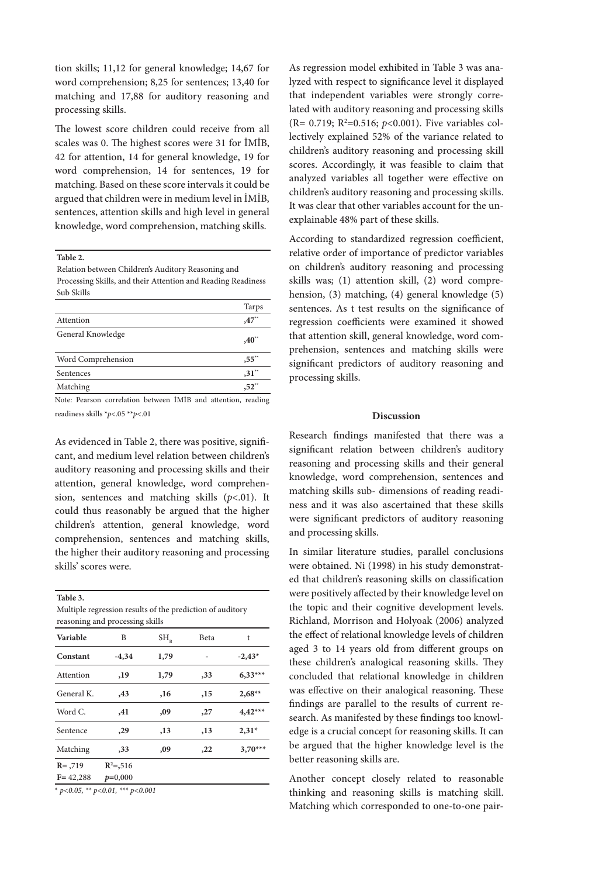tion skills; 11,12 for general knowledge; 14,67 for word comprehension; 8,25 for sentences; 13,40 for matching and 17,88 for auditory reasoning and processing skills.

The lowest score children could receive from all scales was 0. The highest scores were 31 for İMİB, 42 for attention, 14 for general knowledge, 19 for word comprehension, 14 for sentences, 19 for matching. Based on these score intervals it could be argued that children were in medium level in İMİB, sentences, attention skills and high level in general knowledge, word comprehension, matching skills.

**Table 2.** 

Relation between Children's Auditory Reasoning and Processing Skills, and their Attention and Reading Readiness Sub Skills

|                    | Tarps |
|--------------------|-------|
| Attention          | .47   |
| General Knowledge  | ,40"  |
| Word Comprehension | ,55"  |
| Sentences          | ,31"  |
| Matching           | ,52"  |
| $\sim$ $\sim$      |       |

Note: Pearson correlation between İMİB and attention, reading readiness skills \**p*<.05 \*\**p*<.01

As evidenced in Table 2, there was positive, significant, and medium level relation between children's auditory reasoning and processing skills and their attention, general knowledge, word comprehension, sentences and matching skills (*p*<.01). It could thus reasonably be argued that the higher children's attention, general knowledge, word comprehension, sentences and matching skills, the higher their auditory reasoning and processing skills' scores were.

#### **Table 3.**

| Multiple regression results of the prediction of auditory |  |
|-----------------------------------------------------------|--|
| reasoning and processing skills                           |  |

| Variable     | B             | SH <sub>p</sub> | <b>Beta</b> | t         |
|--------------|---------------|-----------------|-------------|-----------|
| Constant     | $-4,34$       | 1,79            |             | $-2.43*$  |
| Attention    | .19           | 1,79            | 33          | $6,33***$ |
| General K.   | ,43           | ,16             | ,15         | $2,68**$  |
| Word C.      | ,41           | 0.09            | ,27         | $4,42***$ |
| Sentence     | , 29          | ,13             | ,13         | $2.31*$   |
| Matching     | 33            | ,09             | , 22        | $3,70***$ |
| $R = 0.719$  | $R^2 = 0.516$ |                 |             |           |
| $F = 42,288$ | $p=0,000$     |                 |             |           |

\* *p<0.05, \*\* p<0.01, \*\*\* p<0.001*

As regression model exhibited in Table 3 was analyzed with respect to significance level it displayed that independent variables were strongly correlated with auditory reasoning and processing skills  $(R = 0.719; R^2 = 0.516; p < 0.001)$ . Five variables collectively explained 52% of the variance related to children's auditory reasoning and processing skill scores. Accordingly, it was feasible to claim that analyzed variables all together were effective on children's auditory reasoning and processing skills. It was clear that other variables account for the unexplainable 48% part of these skills.

According to standardized regression coefficient, relative order of importance of predictor variables on children's auditory reasoning and processing skills was; (1) attention skill, (2) word comprehension, (3) matching, (4) general knowledge (5) sentences. As t test results on the significance of regression coefficients were examined it showed that attention skill, general knowledge, word comprehension, sentences and matching skills were significant predictors of auditory reasoning and processing skills.

#### **Discussion**

Research findings manifested that there was a significant relation between children's auditory reasoning and processing skills and their general knowledge, word comprehension, sentences and matching skills sub- dimensions of reading readiness and it was also ascertained that these skills were significant predictors of auditory reasoning and processing skills.

In similar literature studies, parallel conclusions were obtained. Ni (1998) in his study demonstrated that children's reasoning skills on classification were positively affected by their knowledge level on the topic and their cognitive development levels. Richland, Morrison and Holyoak (2006) analyzed the effect of relational knowledge levels of children aged 3 to 14 years old from different groups on these children's analogical reasoning skills. They concluded that relational knowledge in children was effective on their analogical reasoning. These findings are parallel to the results of current research. As manifested by these findings too knowledge is a crucial concept for reasoning skills. It can be argued that the higher knowledge level is the better reasoning skills are.

Another concept closely related to reasonable thinking and reasoning skills is matching skill. Matching which corresponded to one-to-one pair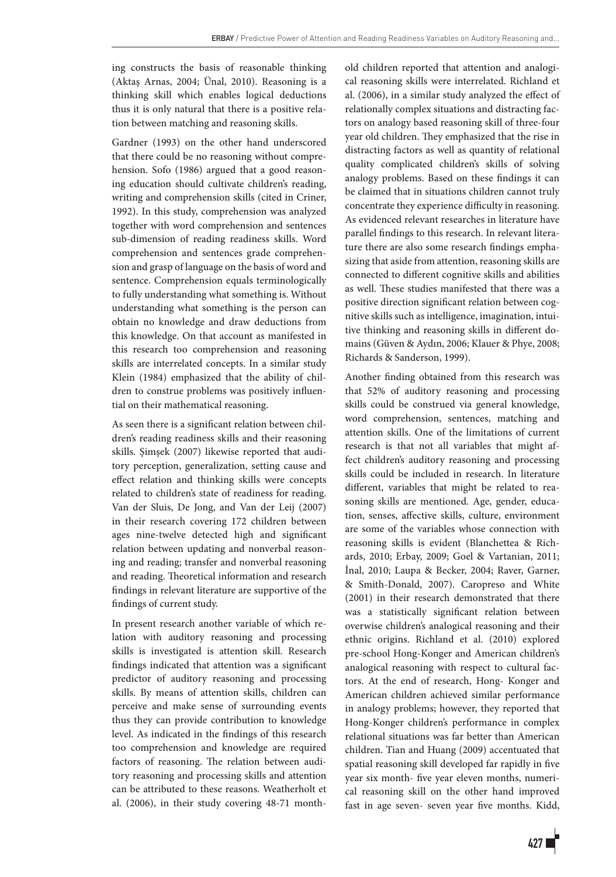ing constructs the basis of reasonable thinking (Aktaş Arnas, 2004; Ünal, 2010). Reasoning is a thinking skill which enables logical deductions thus it is only natural that there is a positive relation between matching and reasoning skills.

Gardner (1993) on the other hand underscored that there could be no reasoning without comprehension. Sofo (1986) argued that a good reasoning education should cultivate children's reading, writing and comprehension skills (cited in Criner, 1992). In this study, comprehension was analyzed together with word comprehension and sentences sub-dimension of reading readiness skills. Word comprehension and sentences grade comprehension and grasp of language on the basis of word and sentence. Comprehension equals terminologically to fully understanding what something is. Without understanding what something is the person can obtain no knowledge and draw deductions from this knowledge. On that account as manifested in this research too comprehension and reasoning skills are interrelated concepts. In a similar study Klein (1984) emphasized that the ability of children to construe problems was positively influential on their mathematical reasoning.

As seen there is a significant relation between children's reading readiness skills and their reasoning skills. Şimşek (2007) likewise reported that auditory perception, generalization, setting cause and effect relation and thinking skills were concepts related to children's state of readiness for reading. Van der Sluis, De Jong, and Van der Leij (2007) in their research covering 172 children between ages nine-twelve detected high and significant relation between updating and nonverbal reasoning and reading; transfer and nonverbal reasoning and reading. Theoretical information and research findings in relevant literature are supportive of the findings of current study.

In present research another variable of which relation with auditory reasoning and processing skills is investigated is attention skill. Research findings indicated that attention was a significant predictor of auditory reasoning and processing skills. By means of attention skills, children can perceive and make sense of surrounding events thus they can provide contribution to knowledge level. As indicated in the findings of this research too comprehension and knowledge are required factors of reasoning. The relation between auditory reasoning and processing skills and attention can be attributed to these reasons. Weatherholt et al. (2006), in their study covering 48-71 monthold children reported that attention and analogical reasoning skills were interrelated. Richland et al. (2006), in a similar study analyzed the effect of relationally complex situations and distracting factors on analogy based reasoning skill of three-four year old children. They emphasized that the rise in distracting factors as well as quantity of relational quality complicated children's skills of solving analogy problems. Based on these findings it can be claimed that in situations children cannot truly concentrate they experience difficulty in reasoning. As evidenced relevant researches in literature have parallel findings to this research. In relevant literature there are also some research findings emphasizing that aside from attention, reasoning skills are connected to different cognitive skills and abilities as well. These studies manifested that there was a positive direction significant relation between cognitive skills such as intelligence, imagination, intuitive thinking and reasoning skills in different domains (Güven & Aydın, 2006; Klauer & Phye, 2008; Richards & Sanderson, 1999).

Another finding obtained from this research was that 52% of auditory reasoning and processing skills could be construed via general knowledge, word comprehension, sentences, matching and attention skills. One of the limitations of current research is that not all variables that might affect children's auditory reasoning and processing skills could be included in research. In literature different, variables that might be related to reasoning skills are mentioned. Age, gender, education, senses, affective skills, culture, environment are some of the variables whose connection with reasoning skills is evident (Blanchettea & Richards, 2010; Erbay, 2009; Goel & Vartanian, 2011; İnal, 2010; Laupa & Becker, 2004; Raver, Garner, & Smith-Donald, 2007). Caropreso and White (2001) in their research demonstrated that there was a statistically significant relation between overwise children's analogical reasoning and their ethnic origins. Richland et al. (2010) explored pre-school Hong-Konger and American children's analogical reasoning with respect to cultural factors. At the end of research, Hong- Konger and American children achieved similar performance in analogy problems; however, they reported that Hong-Konger children's performance in complex relational situations was far better than American children. Tian and Huang (2009) accentuated that spatial reasoning skill developed far rapidly in five year six month- five year eleven months, numerical reasoning skill on the other hand improved fast in age seven- seven year five months. Kidd,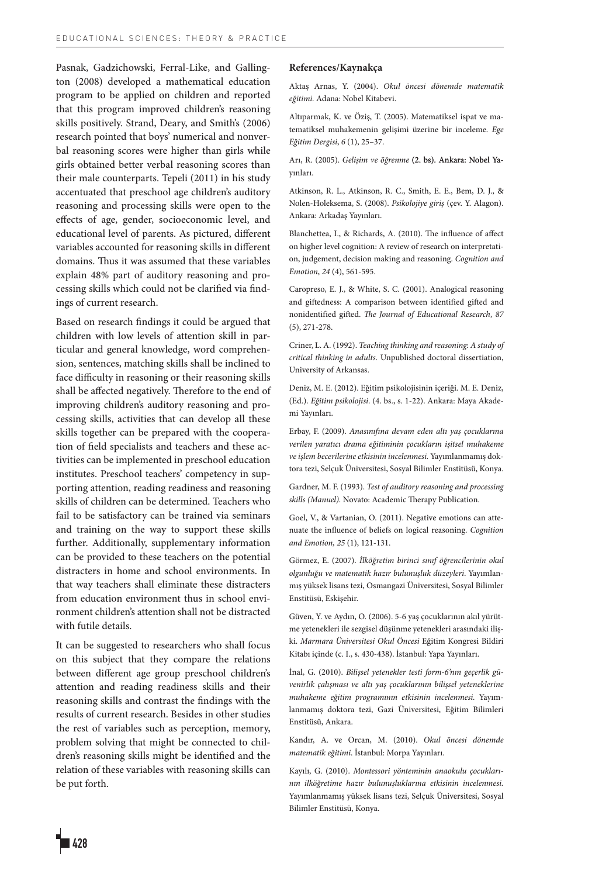Pasnak, Gadzichowski, Ferral-Like, and Gallington (2008) developed a mathematical education program to be applied on children and reported that this program improved children's reasoning skills positively. Strand, Deary, and Smith's (2006) research pointed that boys' numerical and nonverbal reasoning scores were higher than girls while girls obtained better verbal reasoning scores than their male counterparts. Tepeli (2011) in his study accentuated that preschool age children's auditory reasoning and processing skills were open to the effects of age, gender, socioeconomic level, and educational level of parents. As pictured, different variables accounted for reasoning skills in different domains. Thus it was assumed that these variables explain 48% part of auditory reasoning and processing skills which could not be clarified via findings of current research.

Based on research findings it could be argued that children with low levels of attention skill in particular and general knowledge, word comprehension, sentences, matching skills shall be inclined to face difficulty in reasoning or their reasoning skills shall be affected negatively. Therefore to the end of improving children's auditory reasoning and processing skills, activities that can develop all these skills together can be prepared with the cooperation of field specialists and teachers and these activities can be implemented in preschool education institutes. Preschool teachers' competency in supporting attention, reading readiness and reasoning skills of children can be determined. Teachers who fail to be satisfactory can be trained via seminars and training on the way to support these skills further. Additionally, supplementary information can be provided to these teachers on the potential distracters in home and school environments. In that way teachers shall eliminate these distracters from education environment thus in school environment children's attention shall not be distracted with futile details.

It can be suggested to researchers who shall focus on this subject that they compare the relations between different age group preschool children's attention and reading readiness skills and their reasoning skills and contrast the findings with the results of current research. Besides in other studies the rest of variables such as perception, memory, problem solving that might be connected to children's reasoning skills might be identified and the relation of these variables with reasoning skills can be put forth.

#### **References/Kaynakça**

Aktaş Arnas, Y. (2004). *Okul öncesi dönemde matematik eğitimi.* Adana: Nobel Kitabevi.

Altıparmak, K. ve Öziş, T. (2005). Matematiksel ispat ve matematiksel muhakemenin gelişimi üzerine bir inceleme. *Ege Eğitim Dergisi*, *6* (1), 25–37.

Arı, R. (2005). *Gelişim ve öğrenme* (2. bs). Ankara: Nobel Yayınları.

Atkinson, R. L., Atkinson, R. C., Smith, E. E., Bem, D. J., & Nolen-Holeksema, S. (2008). *Psikolojiye giriş* (çev. Y. Alagon). Ankara: Arkadaş Yayınları.

Blanchettea, I., & Richards, A. (2010). The influence of affect on higher level cognition: A review of research on interpretation, judgement, decision making and reasoning. *Cognition and Emotion*, *24* (4), 561-595.

Caropreso, E. J., & White, S. C. (2001). Analogical reasoning and giftedness: A comparison between identified gifted and nonidentified gifted. *The Journal of Educational Research*, *87* (5), 271-278.

Criner, L. A. (1992). *Teaching thinking and reasoning: A study of critical thinking in adults.* Unpublished doctoral dissertiation, University of Arkansas.

Deniz, M. E. (2012). Eğitim psikolojisinin içeriği. M. E. Deniz, (Ed.). *Eğitim psikolojisi*. (4. bs., s. 1-22). Ankara: Maya Akademi Yayınları.

Erbay, F. (2009). *Anasınıfına devam eden altı yaş çocuklarına verilen yaratıcı drama eğitiminin çocukların işitsel muhakeme ve işlem becerilerine etkisinin incelenmesi.* Yayımlanmamış doktora tezi, Selçuk Üniversitesi, Sosyal Bilimler Enstitüsü, Konya.

Gardner, M. F. (1993). *Test of auditory reasoning and processing skills (Manuel).* Novato: Academic Therapy Publication.

Goel, V., & Vartanian, O. (2011). Negative emotions can attenuate the influence of beliefs on logical reasoning. *Cognition and Emotion, 25* (1), 121-131.

Görmez, E. (2007). *İlköğretim birinci sınıf öğrencilerinin okul olgunluğu ve matematik hazır bulunuşluk düzeyleri*. Yayımlanmış yüksek lisans tezi, Osmangazi Üniversitesi, Sosyal Bilimler Enstitüsü, Eskişehir.

Güven, Y. ve Aydın, O. (2006). 5-6 yaş çocuklarının akıl yürütme yetenekleri ile sezgisel düşünme yetenekleri arasındaki ilişki. *Marmara Üniversitesi Okul Öncesi* Eğitim Kongresi Bildiri Kitabı içinde (c. I., s. 430-438). İstanbul: Yapa Yayınları.

İnal, G. (2010). *Bilişsel yetenekler testi form-6'nın geçerlik güvenirlik çalışması ve altı yaş çocuklarının bilişsel yeteneklerine muhakeme eğitim programının etkisinin incelenmesi.* Yayımlanmamış doktora tezi, Gazi Üniversitesi, Eğitim Bilimleri Enstitüsü, Ankara.

Kandır, A. ve Orcan, M. (2010). *Okul öncesi dönemde matematik eğitimi*. İstanbul: Morpa Yayınları.

Kayılı, G. (2010). *Montessori yönteminin anaokulu çocuklarının ilköğretime hazır bulunuşluklarına etkisinin incelenmesi.* Yayımlanmamış yüksek lisans tezi, Selçuk Üniversitesi, Sosyal Bilimler Enstitüsü, Konya.